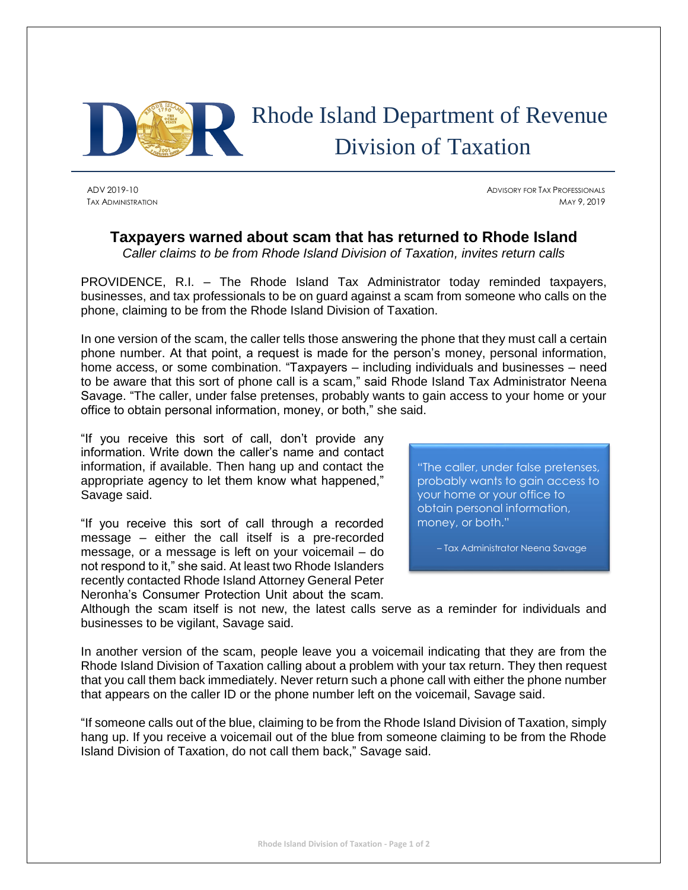

## Rhode Island Department of Revenue Division of Taxation

ADV 2019-10 ADVISORY FOR TAX PROFESSIONALS TAX ADMINISTRATION MAY 9, 2019

## **Taxpayers warned about scam that has returned to Rhode Island**

*Caller claims to be from Rhode Island Division of Taxation, invites return calls*

PROVIDENCE, R.I. – The Rhode Island Tax Administrator today reminded taxpayers, businesses, and tax professionals to be on guard against a scam from someone who calls on the phone, claiming to be from the Rhode Island Division of Taxation.

In one version of the scam, the caller tells those answering the phone that they must call a certain phone number. At that point, a request is made for the person's money, personal information, home access, or some combination. "Taxpayers – including individuals and businesses – need to be aware that this sort of phone call is a scam," said Rhode Island Tax Administrator Neena Savage. "The caller, under false pretenses, probably wants to gain access to your home or your office to obtain personal information, money, or both," she said.

"If you receive this sort of call, don't provide any information. Write down the caller's name and contact information, if available. Then hang up and contact the appropriate agency to let them know what happened," Savage said.

"If you receive this sort of call through a recorded message – either the call itself is a pre-recorded message, or a message is left on your voicemail – do not respond to it," she said. At least two Rhode Islanders recently contacted Rhode Island Attorney General Peter Neronha's Consumer Protection Unit about the scam.

"The caller, under false pretenses, probably wants to gain access to your home or your office to obtain personal information, money, or both."

– Tax Administrator Neena Savage

Although the scam itself is not new, the latest calls serve as a reminder for individuals and businesses to be vigilant, Savage said.

In another version of the scam, people leave you a voicemail indicating that they are from the Rhode Island Division of Taxation calling about a problem with your tax return. They then request that you call them back immediately. Never return such a phone call with either the phone number that appears on the caller ID or the phone number left on the voicemail, Savage said.

"If someone calls out of the blue, claiming to be from the Rhode Island Division of Taxation, simply hang up. If you receive a voicemail out of the blue from someone claiming to be from the Rhode Island Division of Taxation, do not call them back," Savage said.